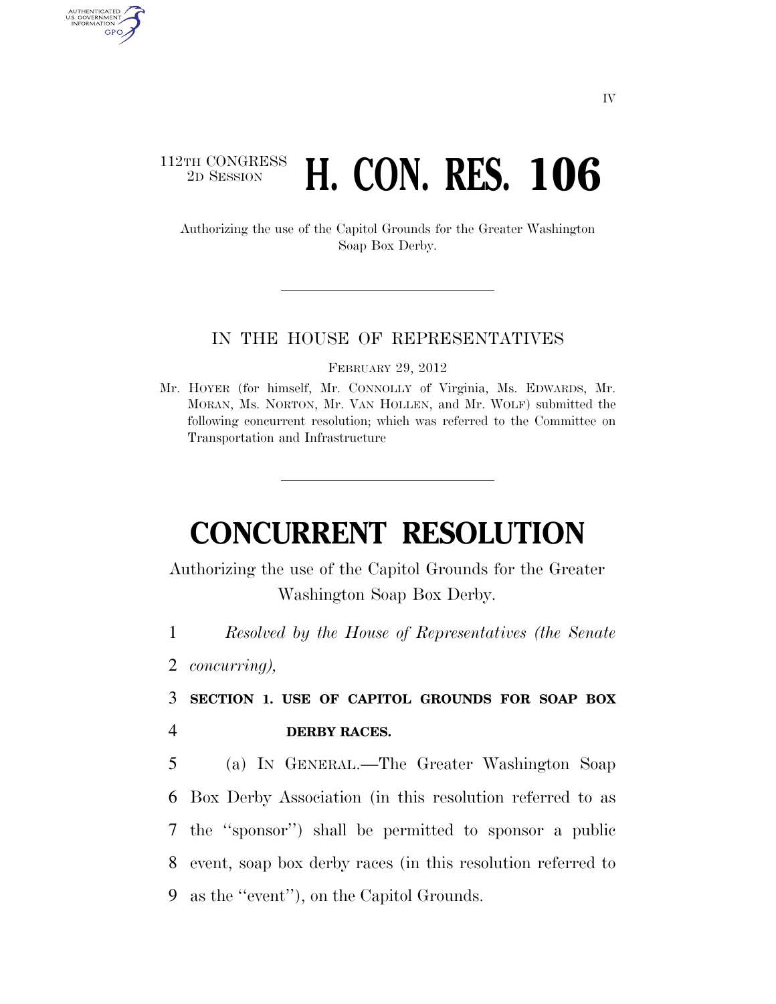# 112TH CONGRESS <sup>TH CONGRESS</sup> H. CON. RES. 106

Authorizing the use of the Capitol Grounds for the Greater Washington Soap Box Derby.

#### IN THE HOUSE OF REPRESENTATIVES

FEBRUARY 29, 2012

Mr. HOYER (for himself, Mr. CONNOLLY of Virginia, Ms. EDWARDS, Mr. MORAN, Ms. NORTON, Mr. VAN HOLLEN, and Mr. WOLF) submitted the following concurrent resolution; which was referred to the Committee on Transportation and Infrastructure

# **CONCURRENT RESOLUTION**

Authorizing the use of the Capitol Grounds for the Greater Washington Soap Box Derby.

1 *Resolved by the House of Representatives (the Senate* 

2 *concurring),* 

AUTHENTICATED<br>U.S. GOVERNMENT<br>INFORMATION GPO

> 3 **SECTION 1. USE OF CAPITOL GROUNDS FOR SOAP BOX**  4 **DERBY RACES.**

> (a) IN GENERAL.—The Greater Washington Soap Box Derby Association (in this resolution referred to as the ''sponsor'') shall be permitted to sponsor a public event, soap box derby races (in this resolution referred to as the ''event''), on the Capitol Grounds.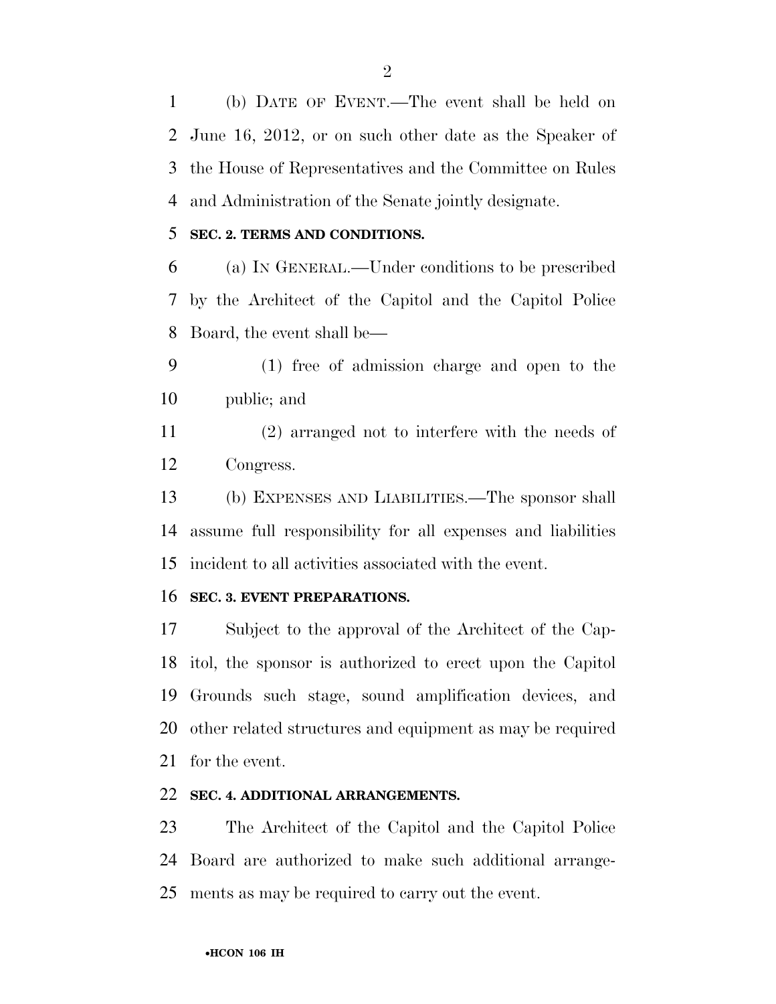(b) DATE OF EVENT.—The event shall be held on June 16, 2012, or on such other date as the Speaker of the House of Representatives and the Committee on Rules and Administration of the Senate jointly designate.

## **SEC. 2. TERMS AND CONDITIONS.**

 (a) IN GENERAL.—Under conditions to be prescribed by the Architect of the Capitol and the Capitol Police Board, the event shall be—

 (1) free of admission charge and open to the public; and

 (2) arranged not to interfere with the needs of Congress.

 (b) EXPENSES AND LIABILITIES.—The sponsor shall assume full responsibility for all expenses and liabilities incident to all activities associated with the event.

### **SEC. 3. EVENT PREPARATIONS.**

 Subject to the approval of the Architect of the Cap- itol, the sponsor is authorized to erect upon the Capitol Grounds such stage, sound amplification devices, and other related structures and equipment as may be required for the event.

# **SEC. 4. ADDITIONAL ARRANGEMENTS.**

 The Architect of the Capitol and the Capitol Police Board are authorized to make such additional arrange-ments as may be required to carry out the event.